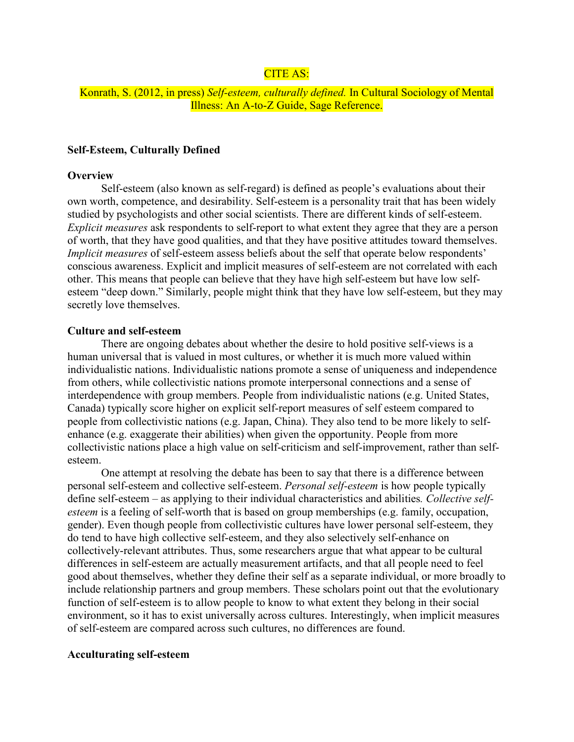# CITE AS:

## Konrath, S. (2012, in press) *Self-esteem, culturally defined.* In Cultural Sociology of Mental Illness: An A-to-Z Guide, Sage Reference.

## **Self-Esteem, Culturally Defined**

#### **Overview**

Self-esteem (also known as self-regard) is defined as people's evaluations about their own worth, competence, and desirability. Self-esteem is a personality trait that has been widely studied by psychologists and other social scientists. There are different kinds of self-esteem. *Explicit measures* ask respondents to self-report to what extent they agree that they are a person of worth, that they have good qualities, and that they have positive attitudes toward themselves. *Implicit measures* of self-esteem assess beliefs about the self that operate below respondents' conscious awareness. Explicit and implicit measures of self-esteem are not correlated with each other. This means that people can believe that they have high self-esteem but have low selfesteem "deep down." Similarly, people might think that they have low self-esteem, but they may secretly love themselves.

### **Culture and self-esteem**

There are ongoing debates about whether the desire to hold positive self-views is a human universal that is valued in most cultures, or whether it is much more valued within individualistic nations. Individualistic nations promote a sense of uniqueness and independence from others, while collectivistic nations promote interpersonal connections and a sense of interdependence with group members. People from individualistic nations (e.g. United States, Canada) typically score higher on explicit self-report measures of self esteem compared to people from collectivistic nations (e.g. Japan, China). They also tend to be more likely to selfenhance (e.g. exaggerate their abilities) when given the opportunity. People from more collectivistic nations place a high value on self-criticism and self-improvement, rather than selfesteem.

One attempt at resolving the debate has been to say that there is a difference between personal self-esteem and collective self-esteem. *Personal self-esteem* is how people typically define self-esteem – as applying to their individual characteristics and abilities*. Collective selfesteem* is a feeling of self-worth that is based on group memberships (e.g. family, occupation, gender). Even though people from collectivistic cultures have lower personal self-esteem, they do tend to have high collective self-esteem, and they also selectively self-enhance on collectively-relevant attributes. Thus, some researchers argue that what appear to be cultural differences in self-esteem are actually measurement artifacts, and that all people need to feel good about themselves, whether they define their self as a separate individual, or more broadly to include relationship partners and group members. These scholars point out that the evolutionary function of self-esteem is to allow people to know to what extent they belong in their social environment, so it has to exist universally across cultures. Interestingly, when implicit measures of self-esteem are compared across such cultures, no differences are found.

### **Acculturating self-esteem**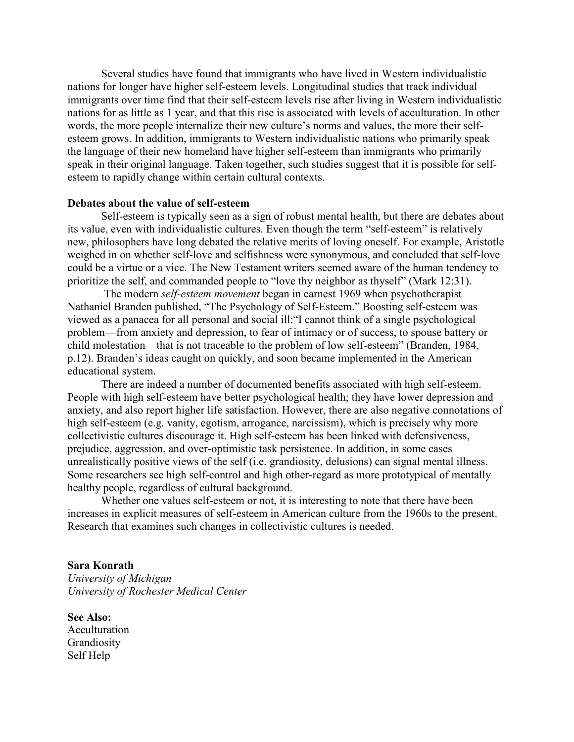Several studies have found that immigrants who have lived in Western individualistic nations for longer have higher self-esteem levels. Longitudinal studies that track individual immigrants over time find that their self-esteem levels rise after living in Western individualistic nations for as little as 1 year, and that this rise is associated with levels of acculturation. In other words, the more people internalize their new culture's norms and values, the more their selfesteem grows. In addition, immigrants to Western individualistic nations who primarily speak the language of their new homeland have higher self-esteem than immigrants who primarily speak in their original language. Taken together, such studies suggest that it is possible for selfesteem to rapidly change within certain cultural contexts.

### **Debates about the value of self-esteem**

Self-esteem is typically seen as a sign of robust mental health, but there are debates about its value, even with individualistic cultures. Even though the term "self-esteem" is relatively new, philosophers have long debated the relative merits of loving oneself. For example, Aristotle weighed in on whether self-love and selfishness were synonymous, and concluded that self-love could be a virtue or a vice. The New Testament writers seemed aware of the human tendency to prioritize the self, and commanded people to "love thy neighbor as thyself" (Mark 12:31).

 The modern *self-esteem movement* began in earnest 1969 when psychotherapist Nathaniel Branden published, "The Psychology of Self-Esteem." Boosting self-esteem was viewed as a panacea for all personal and social ill:"I cannot think of a single psychological problem—from anxiety and depression, to fear of intimacy or of success, to spouse battery or child molestation—that is not traceable to the problem of low self-esteem" (Branden, 1984, p.12). Branden's ideas caught on quickly, and soon became implemented in the American educational system.

 There are indeed a number of documented benefits associated with high self-esteem. People with high self-esteem have better psychological health; they have lower depression and anxiety, and also report higher life satisfaction. However, there are also negative connotations of high self-esteem (e.g. vanity, egotism, arrogance, narcissism), which is precisely why more collectivistic cultures discourage it. High self-esteem has been linked with defensiveness, prejudice, aggression, and over-optimistic task persistence. In addition, in some cases unrealistically positive views of the self (i.e. grandiosity, delusions) can signal mental illness. Some researchers see high self-control and high other-regard as more prototypical of mentally healthy people, regardless of cultural background.

 Whether one values self-esteem or not, it is interesting to note that there have been increases in explicit measures of self-esteem in American culture from the 1960s to the present. Research that examines such changes in collectivistic cultures is needed.

## **Sara Konrath**

*University of Michigan University of Rochester Medical Center* 

**See Also:** Acculturation Grandiosity Self Help